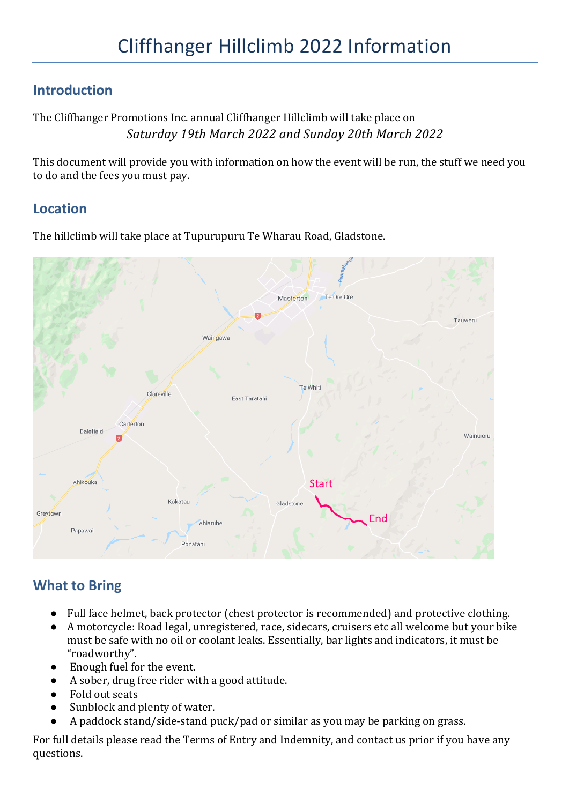## **Introduction**

The Cliffhanger Promotions Inc. annual Cliffhanger Hillclimb will take place on *Saturday 19th March 2022 and Sunday 20th March 2022*

This document will provide you with information on how the event will be run, the stuff we need you to do and the fees you must pay.

## **Location**

The hillclimb will take place at Tupurupuru Te Wharau Road, Gladstone.



# **What to Bring**

- Full face helmet, back protector (chest protector is recommended) and protective clothing.
- A motorcycle: Road legal, unregistered, race, sidecars, cruisers etc all welcome but your bike must be safe with no oil or coolant leaks. Essentially, bar lights and indicators, it must be "roadworthy".
- Enough fuel for the event.
- A sober, drug free rider with a good attitude.
- Fold out seats
- Sunblock and plenty of water.
- A paddock stand/side-stand puck/pad or similar as you may be parking on grass.

For full details please read the Terms of Entry and Indemnity, and contact us prior if you have any questions.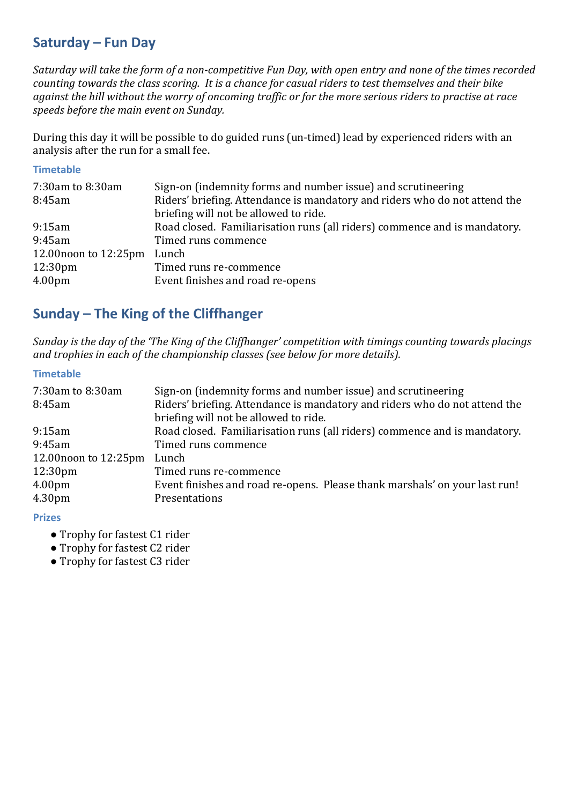## **Saturday – Fun Day**

*Saturday* will take the form of a non-competitive Fun Day, with open entry and none of the times recorded *counting towards the class scoring. It is a chance for casual riders to test themselves and their bike* against the hill without the worry of oncoming traffic or for the more serious riders to practise at race speeds before the main event on Sunday.

During this day it will be possible to do guided runs (un-timed) lead by experienced riders with an analysis after the run for a small fee.

#### **Timetable**

| 7:30am to 8:30am<br>8:45am | Sign-on (indemnity forms and number issue) and scrutineering<br>Riders' briefing. Attendance is mandatory and riders who do not attend the<br>briefing will not be allowed to ride. |
|----------------------------|-------------------------------------------------------------------------------------------------------------------------------------------------------------------------------------|
| 9:15am                     | Road closed. Familiarisation runs (all riders) commence and is mandatory.                                                                                                           |
| 9:45am                     | Timed runs commence                                                                                                                                                                 |
| $12.00$ noon to $12:25$ pm | Lunch                                                                                                                                                                               |
| 12:30 <sub>pm</sub>        | Timed runs re-commence                                                                                                                                                              |
| 4.00 <sub>pm</sub>         | Event finishes and road re-opens                                                                                                                                                    |

## **Sunday – The King of the Cliffhanger**

*Sunday* is the day of the 'The King of the Cliffhanger' competition with timings counting towards placings *and trophies in each of the championship classes (see below for more details).* 

### **Timetable**

| 7:30am to 8:30am<br>8:45am | Sign-on (indemnity forms and number issue) and scrutineering<br>Riders' briefing. Attendance is mandatory and riders who do not attend the<br>briefing will not be allowed to ride. |  |  |
|----------------------------|-------------------------------------------------------------------------------------------------------------------------------------------------------------------------------------|--|--|
| 9:15am                     | Road closed. Familiarisation runs (all riders) commence and is mandatory.                                                                                                           |  |  |
| 9:45am                     | Timed runs commence                                                                                                                                                                 |  |  |
| 12.00 noon to $12:25$ pm   | Lunch                                                                                                                                                                               |  |  |
| 12:30 <sub>pm</sub>        | Timed runs re-commence                                                                                                                                                              |  |  |
| 4.00pm                     | Event finishes and road re-opens. Please thank marshals' on your last run!                                                                                                          |  |  |
| 4.30pm                     | Presentations                                                                                                                                                                       |  |  |

#### **Prizes**

- Trophy for fastest C1 rider
- Trophy for fastest C2 rider
- Trophy for fastest C3 rider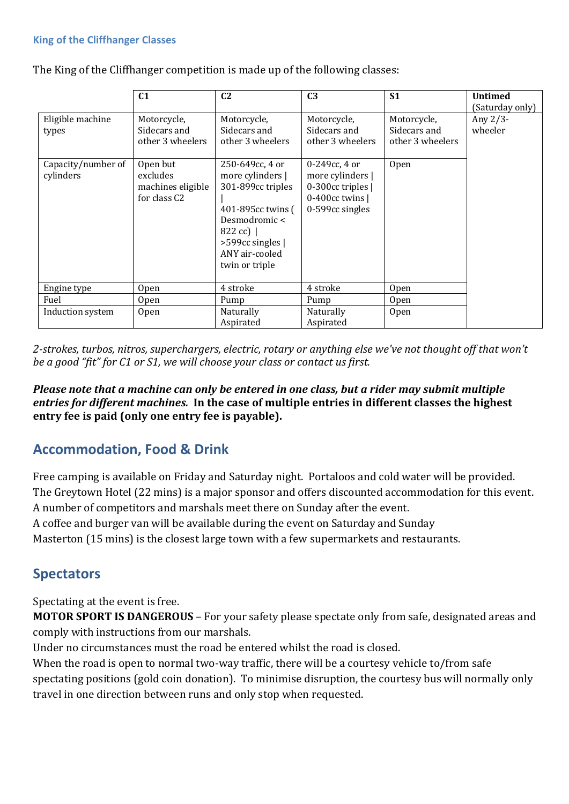#### **King of the Cliffhanger Classes**

The King of the Cliffhanger competition is made up of the following classes:

|                                                              | C <sub>1</sub>                                                                                                           | C <sub>2</sub>                                                                                                                                    | C <sub>3</sub>                                                                                                                                           | S <sub>1</sub>                                          | <b>Untimed</b><br>(Saturday only) |
|--------------------------------------------------------------|--------------------------------------------------------------------------------------------------------------------------|---------------------------------------------------------------------------------------------------------------------------------------------------|----------------------------------------------------------------------------------------------------------------------------------------------------------|---------------------------------------------------------|-----------------------------------|
| Eligible machine<br>types<br>Capacity/number of<br>cylinders | Motorcycle,<br>Sidecars and<br>other 3 wheelers<br>Open but<br>excludes<br>machines eligible<br>for class C <sub>2</sub> | Motorcycle,<br>Sidecars and<br>other 3 wheelers<br>250-649cc, 4 or<br>more cylinders  <br>301-899cc triples<br>401-895cc twins (<br>Desmodromic < | Motorcycle,<br>Sidecars and<br>other 3 wheelers<br>$0 - 249$ cc, 4 or<br>more cylinders  <br>0-300cc triples  <br>$0-400cc$ twins $ $<br>0-599cc singles | Motorcycle,<br>Sidecars and<br>other 3 wheelers<br>Open | Any 2/3-<br>wheeler               |
|                                                              |                                                                                                                          | 822 cc)  <br>>599cc singles  <br>ANY air-cooled<br>twin or triple                                                                                 |                                                                                                                                                          |                                                         |                                   |
| Engine type                                                  | 0 <sub>pen</sub>                                                                                                         | 4 stroke                                                                                                                                          | 4 stroke                                                                                                                                                 | <b>Open</b>                                             |                                   |
| Fuel                                                         | <b>Open</b>                                                                                                              | Pump                                                                                                                                              | Pump                                                                                                                                                     | <b>Open</b>                                             |                                   |
| Induction system                                             | Open                                                                                                                     | Naturally<br>Aspirated                                                                                                                            | Naturally<br>Aspirated                                                                                                                                   | <b>Open</b>                                             |                                   |

2-strokes, turbos, nitros, superchargers, electric, rotary or anything else we've not thought off that won't *be a good "fit" for C1 or S1, we will choose your class or contact us first.* 

*Please note that a machine can only be entered in one class, but a rider may submit multiple entries for different machines.* In the case of multiple entries in different classes the highest entry fee is paid (only one entry fee is payable).

### **Accommodation, Food & Drink**

Free camping is available on Friday and Saturday night. Portaloos and cold water will be provided. The Greytown Hotel (22 mins) is a major sponsor and offers discounted accommodation for this event. A number of competitors and marshals meet there on Sunday after the event. A coffee and burger van will be available during the event on Saturday and Sunday Masterton (15 mins) is the closest large town with a few supermarkets and restaurants.

### **Spectators**

Spectating at the event is free.

**MOTOR SPORT IS DANGEROUS** – For your safety please spectate only from safe, designated areas and comply with instructions from our marshals.

Under no circumstances must the road be entered whilst the road is closed.

When the road is open to normal two-way traffic, there will be a courtesy vehicle to/from safe spectating positions (gold coin donation). To minimise disruption, the courtesy bus will normally only travel in one direction between runs and only stop when requested.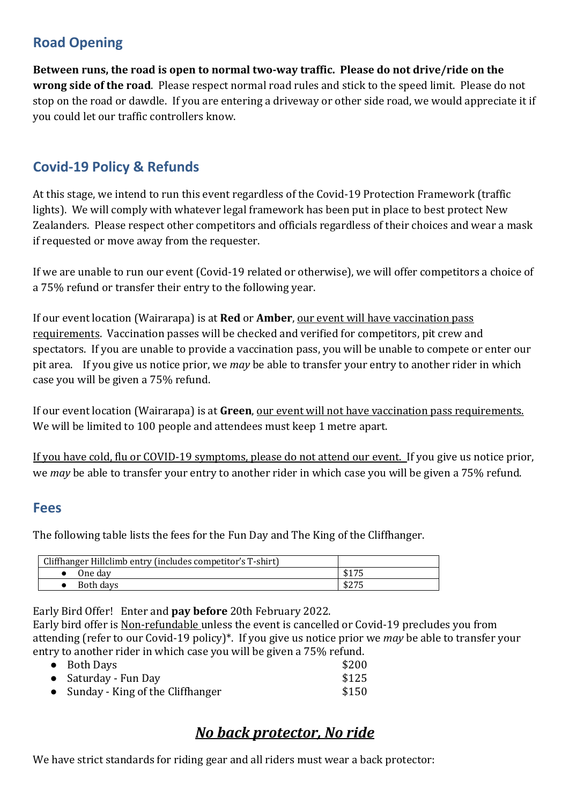# **Road Opening**

Between runs, the road is open to normal two-way traffic. Please do not drive/ride on the **wrong side of the road**. Please respect normal road rules and stick to the speed limit. Please do not stop on the road or dawdle. If you are entering a driveway or other side road, we would appreciate it if you could let our traffic controllers know.

# **Covid-19 Policy & Refunds**

At this stage, we intend to run this event regardless of the Covid-19 Protection Framework (traffic lights). We will comply with whatever legal framework has been put in place to best protect New Zealanders. Please respect other competitors and officials regardless of their choices and wear a mask if requested or move away from the requester.

If we are unable to run our event (Covid-19 related or otherwise), we will offer competitors a choice of a 75% refund or transfer their entry to the following year.

If our event location (Wairarapa) is at **Red** or **Amber**, our event will have vaccination pass requirements. Vaccination passes will be checked and verified for competitors, pit crew and spectators. If you are unable to provide a vaccination pass, you will be unable to compete or enter our pit area. If you give us notice prior, we *may* be able to transfer your entry to another rider in which case you will be given a 75% refund.

If our event location (Wairarapa) is at Green, <u>our event will not have vaccination pass requirements.</u> We will be limited to 100 people and attendees must keep 1 metre apart.

If you have cold, flu or COVID-19 symptoms, please do not attend our event. If you give us notice prior, we *may* be able to transfer your entry to another rider in which case you will be given a 75% refund.

### **Fees**

The following table lists the fees for the Fun Day and The King of the Cliffhanger.

| Cliffhanger Hillclimb entry (includes competitor's T-shirt) |                 |
|-------------------------------------------------------------|-----------------|
| One dav                                                     | ぐっつご            |
| Both days                                                   | よつワビ<br>D 4 / J |

Early Bird Offer! Enter and **pay before** 20th February 2022.

Early bird offer is Non-refundable unless the event is cancelled or Covid-19 precludes you from attending (refer to our Covid-19 policy)<sup>\*</sup>. If you give us notice prior we *may* be able to transfer your entry to another rider in which case you will be given a 75% refund.

| \$200 |
|-------|
|       |
| \$125 |
| \$150 |
|       |

# *No back protector, No ride*

We have strict standards for riding gear and all riders must wear a back protector: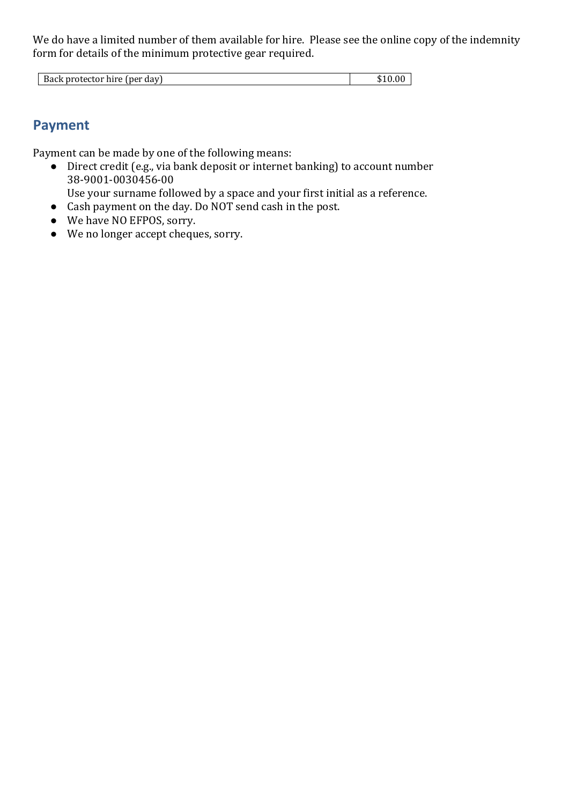We do have a limited number of them available for hire. Please see the online copy of the indemnity form for details of the minimum protective gear required.

| - Back protector hire i<br>: I ner<br>dav) | .D |
|--------------------------------------------|----|

## **Payment**

Payment can be made by one of the following means:

 $\bullet$  Direct credit (e.g., via bank deposit or internet banking) to account number 38-9001-0030456-00

Use your surname followed by a space and your first initial as a reference.

- Cash payment on the day. Do NOT send cash in the post.
- We have NO EFPOS, sorry.
- We no longer accept cheques, sorry.